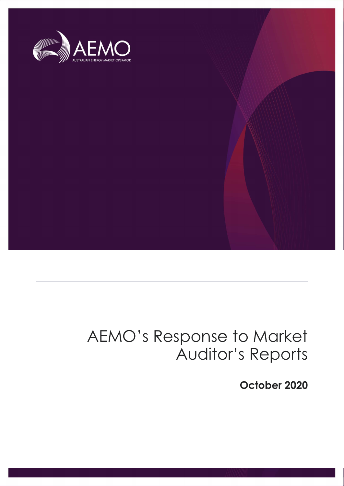

### AEMO's Response to Market Auditor's Reports

October 2020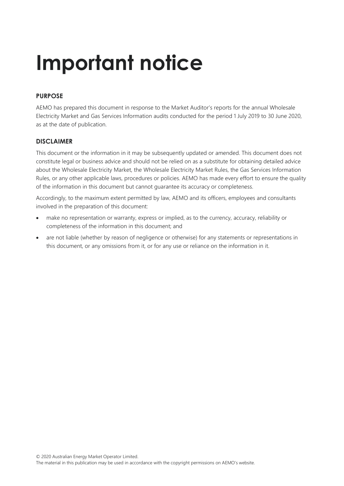## Important notice

#### PURPOSE

AEMO has prepared this document in response to the Market Auditor's reports for the annual Wholesale Electricity Market and Gas Services Information audits conducted for the period 1 July 2019 to 30 June 2020, as at the date of publication.

#### DISCI AIMER

This document or the information in it may be subsequently updated or amended. This document does not constitute legal or business advice and should not be relied on as a substitute for obtaining detailed advice about the Wholesale Electricity Market, the Wholesale Electricity Market Rules, the Gas Services Information Rules, or any other applicable laws, procedures or policies. AEMO has made every effort to ensure the quality of the information in this document but cannot guarantee its accuracy or completeness.

Accordingly, to the maximum extent permitted by law, AEMO and its officers, employees and consultants involved in the preparation of this document:

- make no representation or warranty, express or implied, as to the currency, accuracy, reliability or completeness of the information in this document; and
- are not liable (whether by reason of negligence or otherwise) for any statements or representations in this document, or any omissions from it, or for any use or reliance on the information in it.